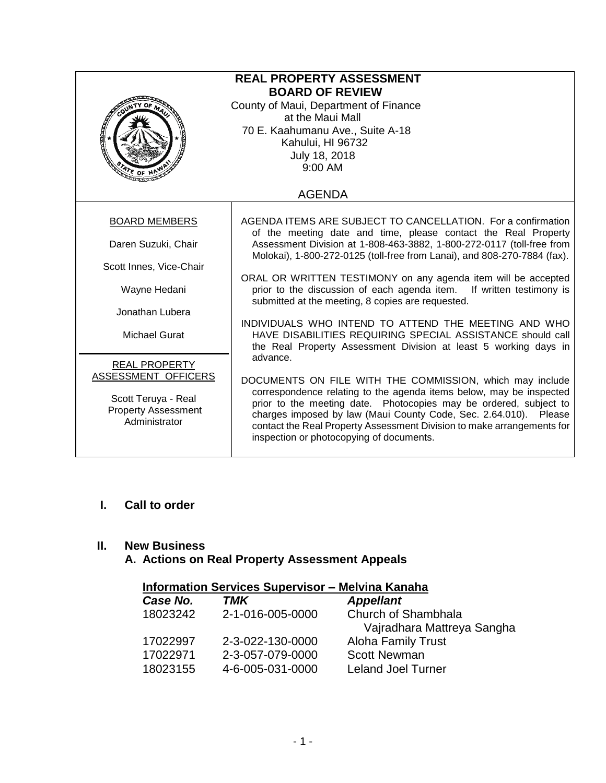| <b>REAL PROPERTY ASSESSMENT</b><br><b>BOARD OF REVIEW</b><br>County of Maui, Department of Finance<br>at the Maui Mall<br>70 E. Kaahumanu Ave., Suite A-18<br>Kahului, HI 96732<br>July 18, 2018<br>9:00 AM<br>$47E$ OF H |                                                                                                                                                                                                                                                                                                                                                                                                |  |
|---------------------------------------------------------------------------------------------------------------------------------------------------------------------------------------------------------------------------|------------------------------------------------------------------------------------------------------------------------------------------------------------------------------------------------------------------------------------------------------------------------------------------------------------------------------------------------------------------------------------------------|--|
|                                                                                                                                                                                                                           | <b>AGENDA</b>                                                                                                                                                                                                                                                                                                                                                                                  |  |
| <b>BOARD MEMBERS</b>                                                                                                                                                                                                      | AGENDA ITEMS ARE SUBJECT TO CANCELLATION. For a confirmation<br>of the meeting date and time, please contact the Real Property                                                                                                                                                                                                                                                                 |  |
| Daren Suzuki, Chair                                                                                                                                                                                                       | Assessment Division at 1-808-463-3882, 1-800-272-0117 (toll-free from<br>Molokai), 1-800-272-0125 (toll-free from Lanai), and 808-270-7884 (fax).                                                                                                                                                                                                                                              |  |
| Scott Innes, Vice-Chair<br>Wayne Hedani<br>Jonathan Lubera                                                                                                                                                                | ORAL OR WRITTEN TESTIMONY on any agenda item will be accepted<br>prior to the discussion of each agenda item. If written testimony is<br>submitted at the meeting, 8 copies are requested.                                                                                                                                                                                                     |  |
| <b>Michael Gurat</b>                                                                                                                                                                                                      | INDIVIDUALS WHO INTEND TO ATTEND THE MEETING AND WHO<br>HAVE DISABILITIES REQUIRING SPECIAL ASSISTANCE should call<br>the Real Property Assessment Division at least 5 working days in<br>advance.                                                                                                                                                                                             |  |
| <b>REAL PROPERTY</b><br>ASSESSMENT OFFICERS<br>Scott Teruya - Real<br><b>Property Assessment</b><br>Administrator                                                                                                         | DOCUMENTS ON FILE WITH THE COMMISSION, which may include<br>correspondence relating to the agenda items below, may be inspected<br>prior to the meeting date. Photocopies may be ordered, subject to<br>charges imposed by law (Maui County Code, Sec. 2.64.010). Please<br>contact the Real Property Assessment Division to make arrangements for<br>inspection or photocopying of documents. |  |

# **I. Call to order**

# **II. New Business**

# **A. Actions on Real Property Assessment Appeals**

| <b>Information Services Supervisor - Melvina Kanaha</b> |                  |                            |  |
|---------------------------------------------------------|------------------|----------------------------|--|
| Case No.                                                | TMK              | <b>Appellant</b>           |  |
| 18023242                                                | 2-1-016-005-0000 | Church of Shambhala        |  |
|                                                         |                  | Vajradhara Mattreya Sangha |  |
| 17022997                                                | 2-3-022-130-0000 | <b>Aloha Family Trust</b>  |  |
| 17022971                                                | 2-3-057-079-0000 | <b>Scott Newman</b>        |  |
| 18023155                                                | 4-6-005-031-0000 | <b>Leland Joel Turner</b>  |  |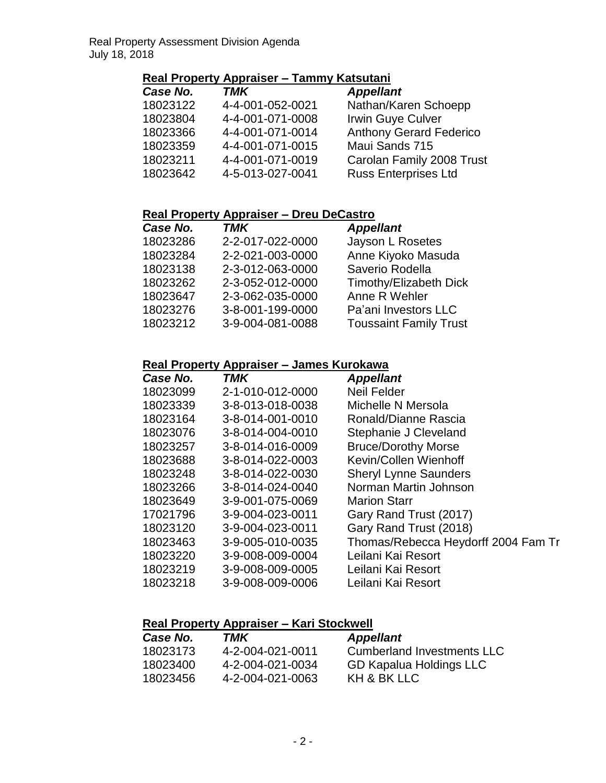# **Real Property Appraiser – Tammy Katsutani**

| Case No. | <b>TMK</b>       | <b>Appellant</b>               |
|----------|------------------|--------------------------------|
| 18023122 | 4-4-001-052-0021 | Nathan/Karen Schoepp           |
| 18023804 | 4-4-001-071-0008 | Irwin Guye Culver              |
| 18023366 | 4-4-001-071-0014 | <b>Anthony Gerard Federico</b> |
| 18023359 | 4-4-001-071-0015 | Maui Sands 715                 |
| 18023211 | 4-4-001-071-0019 | Carolan Family 2008 Trust      |
| 18023642 | 4-5-013-027-0041 | <b>Russ Enterprises Ltd</b>    |

## **Real Property Appraiser – Dreu DeCastro**

| <b>TMK</b>       | <b>Appellant</b>              |
|------------------|-------------------------------|
| 2-2-017-022-0000 | Jayson L Rosetes              |
| 2-2-021-003-0000 | Anne Kiyoko Masuda            |
| 2-3-012-063-0000 | Saverio Rodella               |
| 2-3-052-012-0000 | Timothy/Elizabeth Dick        |
| 2-3-062-035-0000 | Anne R Wehler                 |
| 3-8-001-199-0000 | Pa'ani Investors LLC          |
| 3-9-004-081-0088 | <b>Toussaint Family Trust</b> |
|                  |                               |

#### **Real Property Appraiser – James Kurokawa**

| <b>TMK</b>       | <b>Appellant</b>                    |
|------------------|-------------------------------------|
| 2-1-010-012-0000 | <b>Neil Felder</b>                  |
| 3-8-013-018-0038 | Michelle N Mersola                  |
| 3-8-014-001-0010 | Ronald/Dianne Rascia                |
| 3-8-014-004-0010 | Stephanie J Cleveland               |
| 3-8-014-016-0009 | <b>Bruce/Dorothy Morse</b>          |
| 3-8-014-022-0003 | Kevin/Collen Wienhoff               |
| 3-8-014-022-0030 | <b>Sheryl Lynne Saunders</b>        |
| 3-8-014-024-0040 | Norman Martin Johnson               |
| 3-9-001-075-0069 | <b>Marion Starr</b>                 |
| 3-9-004-023-0011 | Gary Rand Trust (2017)              |
| 3-9-004-023-0011 | Gary Rand Trust (2018)              |
| 3-9-005-010-0035 | Thomas/Rebecca Heydorff 2004 Fam Tr |
| 3-9-008-009-0004 | Leilani Kai Resort                  |
| 3-9-008-009-0005 | Leilani Kai Resort                  |
| 3-9-008-009-0006 | Leilani Kai Resort                  |
|                  |                                     |

# **Real Property Appraiser – Kari Stockwell**

| Case No. | TMK              | <b>Appellant</b>           |
|----------|------------------|----------------------------|
| 18023173 | 4-2-004-021-0011 | Cumberland Investments LLC |
| 18023400 | 4-2-004-021-0034 | GD Kapalua Holdings LLC    |
| 18023456 | 4-2-004-021-0063 | KH & BK LLC                |